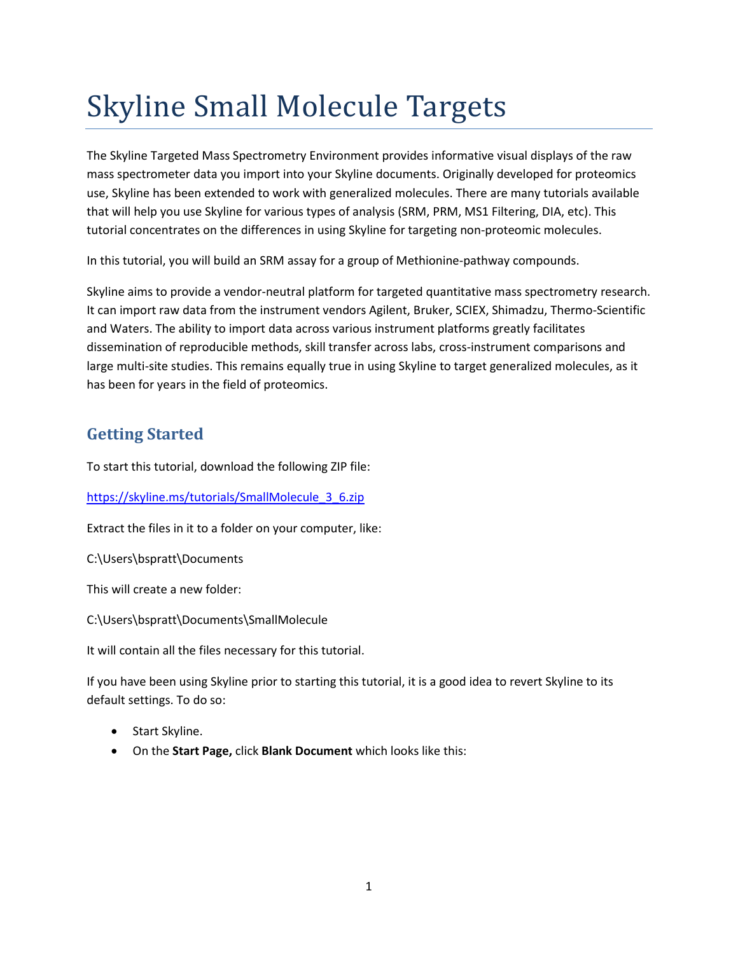# Skyline Small Molecule Targets

The Skyline Targeted Mass Spectrometry Environment provides informative visual displays of the raw mass spectrometer data you import into your Skyline documents. Originally developed for proteomics use, Skyline has been extended to work with generalized molecules. There are many tutorials available that will help you use Skyline for various types of analysis (SRM, PRM, MS1 Filtering, DIA, etc). This tutorial concentrates on the differences in using Skyline for targeting non-proteomic molecules.

In this tutorial, you will build an SRM assay for a group of Methionine-pathway compounds.

Skyline aims to provide a vendor-neutral platform for targeted quantitative mass spectrometry research. It can import raw data from the instrument vendors Agilent, Bruker, SCIEX, Shimadzu, Thermo-Scientific and Waters. The ability to import data across various instrument platforms greatly facilitates dissemination of reproducible methods, skill transfer across labs, cross-instrument comparisons and large multi-site studies. This remains equally true in using Skyline to target generalized molecules, as it has been for years in the field of proteomics.

# **Getting Started**

To start this tutorial, download the following ZIP file:

[https://skyline.ms/tutorials/SmallMolecule\\_3\\_6.zip](https://skyline.ms/tutorials/SmallMolecule_3_6.zip)

Extract the files in it to a folder on your computer, like:

C:\Users\bspratt\Documents

This will create a new folder:

C:\Users\bspratt\Documents\SmallMolecule

It will contain all the files necessary for this tutorial.

If you have been using Skyline prior to starting this tutorial, it is a good idea to revert Skyline to its default settings. To do so:

- Start Skyline.
- On the **Start Page,** click **Blank Document** which looks like this: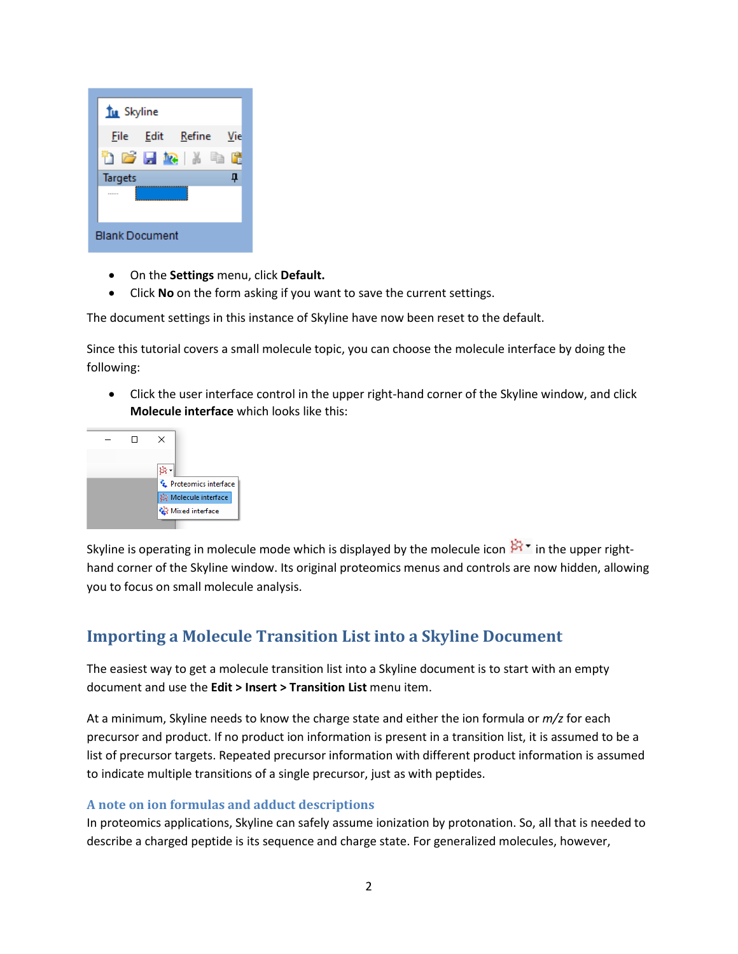

- On the **Settings** menu, click **Default.**
- Click **No** on the form asking if you want to save the current settings.

The document settings in this instance of Skyline have now been reset to the default.

Since this tutorial covers a small molecule topic, you can choose the molecule interface by doing the following:

• Click the user interface control in the upper right-hand corner of the Skyline window, and click **Molecule interface** which looks like this:



Skyline is operating in molecule mode which is displayed by the molecule icon  $\mathbb{R}^r$  in the upper righthand corner of the Skyline window. Its original proteomics menus and controls are now hidden, allowing you to focus on small molecule analysis.

# **Importing a Molecule Transition List into a Skyline Document**

The easiest way to get a molecule transition list into a Skyline document is to start with an empty document and use the **Edit > Insert > Transition List** menu item.

At a minimum, Skyline needs to know the charge state and either the ion formula or *m/z* for each precursor and product. If no product ion information is present in a transition list, it is assumed to be a list of precursor targets. Repeated precursor information with different product information is assumed to indicate multiple transitions of a single precursor, just as with peptides.

#### **A note on ion formulas and adduct descriptions**

In proteomics applications, Skyline can safely assume ionization by protonation. So, all that is needed to describe a charged peptide is its sequence and charge state. For generalized molecules, however,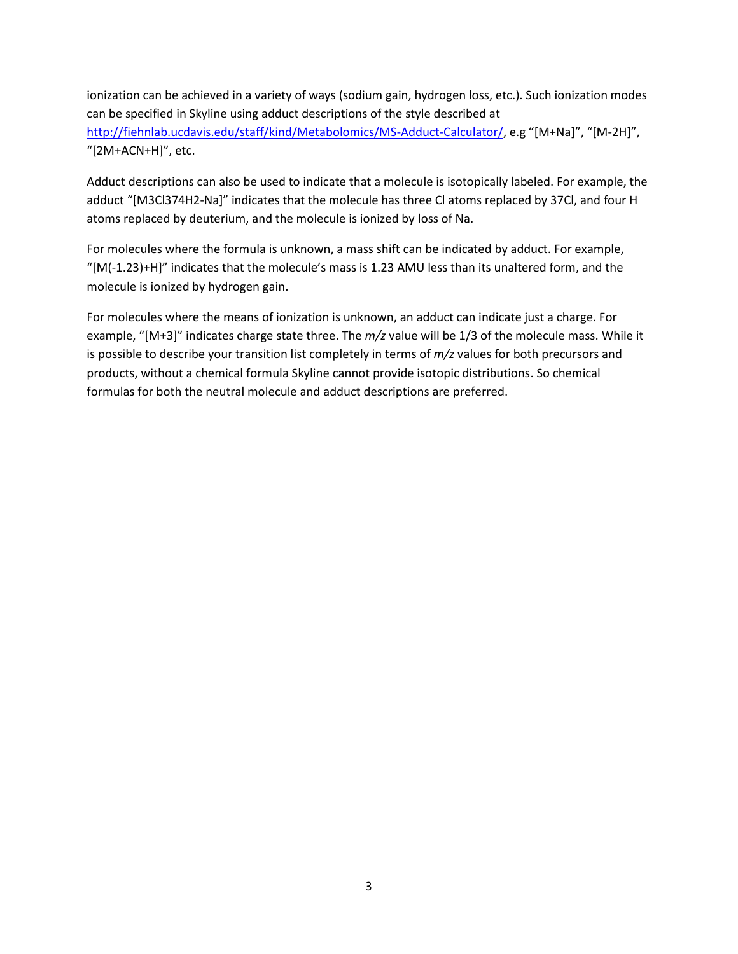ionization can be achieved in a variety of ways (sodium gain, hydrogen loss, etc.). Such ionization modes can be specified in Skyline using adduct descriptions of the style described at <http://fiehnlab.ucdavis.edu/staff/kind/Metabolomics/MS-Adduct-Calculator/>, e.g "[M+Na]", "[M-2H]", "[2M+ACN+H]", etc.

Adduct descriptions can also be used to indicate that a molecule is isotopically labeled. For example, the adduct "[M3Cl374H2-Na]" indicates that the molecule has three Cl atoms replaced by 37Cl, and four H atoms replaced by deuterium, and the molecule is ionized by loss of Na.

For molecules where the formula is unknown, a mass shift can be indicated by adduct. For example, "[M(-1.23)+H]" indicates that the molecule's mass is 1.23 AMU less than its unaltered form, and the molecule is ionized by hydrogen gain.

For molecules where the means of ionization is unknown, an adduct can indicate just a charge. For example, "[M+3]" indicates charge state three. The *m/z* value will be 1/3 of the molecule mass. While it is possible to describe your transition list completely in terms of *m/z* values for both precursors and products, without a chemical formula Skyline cannot provide isotopic distributions. So chemical formulas for both the neutral molecule and adduct descriptions are preferred.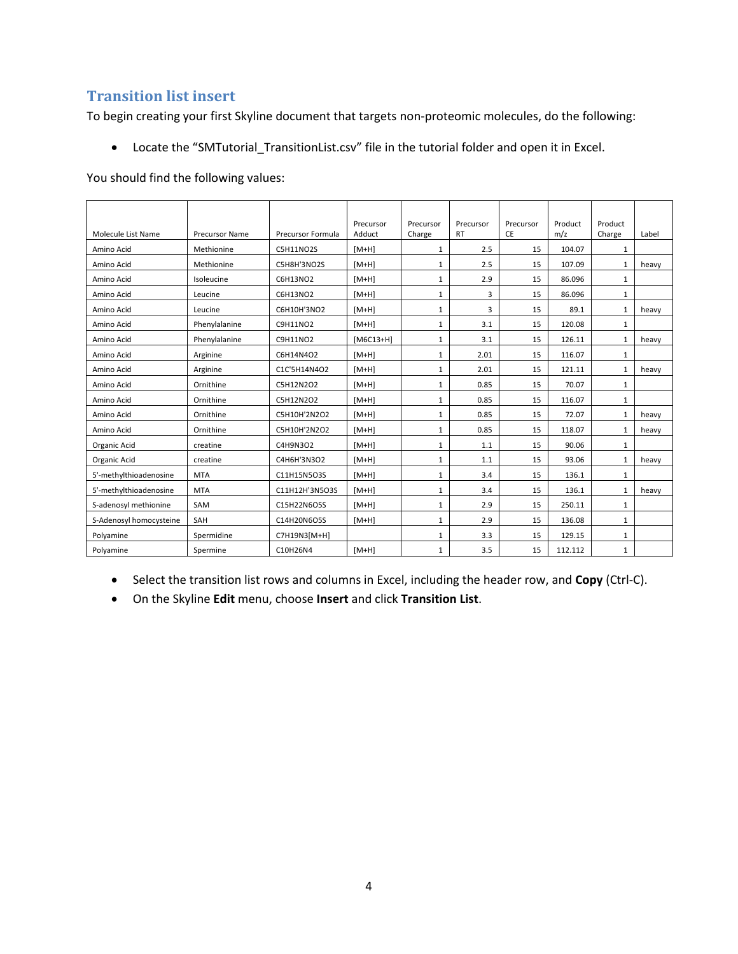#### **Transition list insert**

To begin creating your first Skyline document that targets non-proteomic molecules, do the following:

• Locate the "SMTutorial\_TransitionList.csv" file in the tutorial folder and open it in Excel.

You should find the following values:

| Molecule List Name      | <b>Precursor Name</b> | <b>Precursor Formula</b> | Precursor<br>Adduct | Precursor<br>Charge | Precursor<br><b>RT</b> | Precursor<br><b>CE</b> | Product<br>m/z | Product<br>Charge | Label |
|-------------------------|-----------------------|--------------------------|---------------------|---------------------|------------------------|------------------------|----------------|-------------------|-------|
| Amino Acid              | Methionine            | <b>C5H11NO2S</b>         | $[M+H]$             | 1                   | 2.5                    | 15                     | 104.07         | $\mathbf{1}$      |       |
| Amino Acid              | Methionine            | C5H8H'3NO2S              | $[M+H]$             | $\mathbf{1}$        | 2.5                    | 15                     | 107.09         | 1                 | heavy |
| Amino Acid              | Isoleucine            | C6H13NO2                 | $[M+H]$             | $\mathbf{1}$        | 2.9                    | 15                     | 86.096         | $\mathbf{1}$      |       |
| Amino Acid              | Leucine               | C6H13NO2                 | $[M+H]$             | $\mathbf{1}$        | 3                      | 15                     | 86.096         | 1                 |       |
| Amino Acid              | Leucine               | C6H10H'3NO2              | $[M+H]$             | $\mathbf{1}$        | 3                      | 15                     | 89.1           | $\mathbf{1}$      | heavy |
| Amino Acid              | Phenylalanine         | C9H11NO2                 | $[M+H]$             | $\mathbf{1}$        | 3.1                    | 15                     | 120.08         | $\mathbf{1}$      |       |
| Amino Acid              | Phenylalanine         | C9H11NO2                 | $[M6C13+H]$         | $\mathbf{1}$        | 3.1                    | 15                     | 126.11         | $\mathbf{1}$      | heavy |
| Amino Acid              | Arginine              | C6H14N4O2                | $[M+H]$             | $\mathbf{1}$        | 2.01                   | 15                     | 116.07         | 1                 |       |
| Amino Acid              | Arginine              | C1C'5H14N4O2             | $[M+H]$             | $\mathbf{1}$        | 2.01                   | 15                     | 121.11         | $\mathbf{1}$      | heavy |
| Amino Acid              | Ornithine             | C5H12N2O2                | $[M+H]$             | $\mathbf{1}$        | 0.85                   | 15                     | 70.07          | $\mathbf{1}$      |       |
| Amino Acid              | Ornithine             | C5H12N2O2                | $[M+H]$             | 1                   | 0.85                   | 15                     | 116.07         | $\mathbf{1}$      |       |
| Amino Acid              | Ornithine             | C5H10H'2N2O2             | $[M+H]$             | $\mathbf{1}$        | 0.85                   | 15                     | 72.07          | $\mathbf{1}$      | heavy |
| Amino Acid              | Ornithine             | C5H10H'2N2O2             | $[M+H]$             | $\mathbf{1}$        | 0.85                   | 15                     | 118.07         | $\mathbf{1}$      | heavy |
| Organic Acid            | creatine              | C4H9N3O2                 | $[M+H]$             | $\mathbf{1}$        | 1.1                    | 15                     | 90.06          | $\mathbf{1}$      |       |
| Organic Acid            | creatine              | C4H6H'3N3O2              | $[M+H]$             | $\mathbf{1}$        | 1.1                    | 15                     | 93.06          | $\mathbf{1}$      | heavy |
| 5'-methylthioadenosine  | <b>MTA</b>            | C11H15N5O3S              | $[M+H]$             | $\mathbf{1}$        | 3.4                    | 15                     | 136.1          | $\mathbf{1}$      |       |
| 5'-methylthioadenosine  | <b>MTA</b>            | C11H12H'3N5O3S           | $[M+H]$             | $\mathbf{1}$        | 3.4                    | 15                     | 136.1          | $\mathbf{1}$      | heavy |
| S-adenosyl methionine   | SAM                   | C15H22N6O5S              | $[M+H]$             | $\mathbf{1}$        | 2.9                    | 15                     | 250.11         | 1                 |       |
| S-Adenosyl homocysteine | SAH                   | C14H20N6O5S              | $[M+H]$             | $\mathbf{1}$        | 2.9                    | 15                     | 136.08         | $\mathbf{1}$      |       |
| Polyamine               | Spermidine            | C7H19N3[M+H]             |                     | $\mathbf{1}$        | 3.3                    | 15                     | 129.15         | $\mathbf{1}$      |       |
| Polyamine               | Spermine              | C10H26N4                 | $[M+H]$             | $\mathbf{1}$        | 3.5                    | 15                     | 112.112        | $\mathbf{1}$      |       |

- Select the transition list rows and columns in Excel, including the header row, and **Copy** (Ctrl-C).
- On the Skyline **Edit** menu, choose **Insert** and click **Transition List**.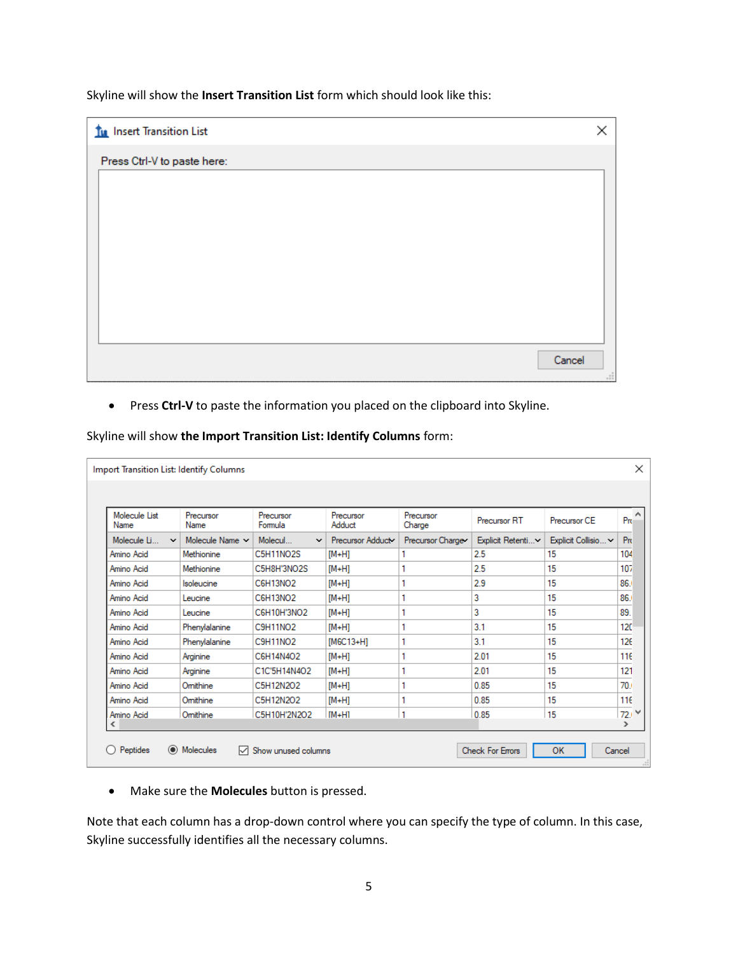Skyline will show the **Insert Transition List** form which should look like this:

| Tu Insert Transition List   | ×                         |
|-----------------------------|---------------------------|
| Press Ctrl-V to paste here: |                           |
|                             |                           |
|                             |                           |
|                             |                           |
|                             |                           |
|                             |                           |
|                             |                           |
|                             |                           |
|                             | Cancel<br>$\frac{1}{n-1}$ |

• Press **Ctrl-V** to paste the information you placed on the clipboard into Skyline.

| <b>Molecule List</b>        | Precursor            | Precursor               | Precursor        | Precursor        | <b>Precursor RT</b> | Precursor CE        | Pro             |
|-----------------------------|----------------------|-------------------------|------------------|------------------|---------------------|---------------------|-----------------|
| Name                        | Name                 | Formula                 | Adduct           | Charge           |                     |                     |                 |
| Molecule Li<br>$\checkmark$ | Molecule Name $\sim$ | Molecul<br>$\checkmark$ | Precursor Adduct | Precursor Charge | Explicit Retenti~   | Explicit Collisio ~ | Pr              |
| Amino Acid                  | Methionine           | C5H11NO2S               | $[M+H]$          |                  | 2.5                 | 15                  | 104             |
| Amino Acid                  | Methionine           | C5H8H'3NO2S             | $[M+H]$          |                  | 2.5                 | 15                  | 107             |
| Amino Acid                  | Isoleucine           | C6H13NO2                | [M+H]            | 1                | 2.9                 | 15                  | 86.             |
| Amino Acid                  | Leucine              | <b>C6H13NO2</b>         | <b>IM+H1</b>     | 1                | 3                   | 15                  | 86.             |
| Amino Acid                  | Leucine              | C6H10H'3NO2             | $[M+H]$          | 1                | 3                   | 15                  | 89.             |
| Amino Acid                  | Phenylalanine        | <b>C9H11NO2</b>         | $[M+H]$          | 1                | 3.1                 | 15                  | 120             |
| Amino Acid                  | Phenylalanine        | <b>C9H11NO2</b>         | $[M6C13+H]$      | 1                | 3.1                 | 15                  | 126             |
| Amino Acid                  | Arginine             | C6H14N4O2               | $[M+H]$          | 1                | 2.01                | 15                  | 116             |
| Amino Acid                  | Arginine             | C1C'5H14N4O2            | $[M+H]$          |                  | 2.01                | 15                  | 121             |
| Amino Acid                  | Omithine             | C5H12N2O2               | $[M+H]$          | 1                | 0.85                | 15                  | 70 <sub>1</sub> |
| Amino Acid                  | Omithine             | C5H12N2O2               | $[M+H]$          | 1                | 0.85                | 15                  | 116             |
| Amino Acid                  | Omithine             | C5H10H'2N2O2            | <b>IM+H1</b>     | ۹                | 0.85                | 15                  | 72.1            |

Skyline will show **the Import Transition List: Identify Columns** form:

• Make sure the **Molecules** button is pressed.

Note that each column has a drop-down control where you can specify the type of column. In this case, Skyline successfully identifies all the necessary columns.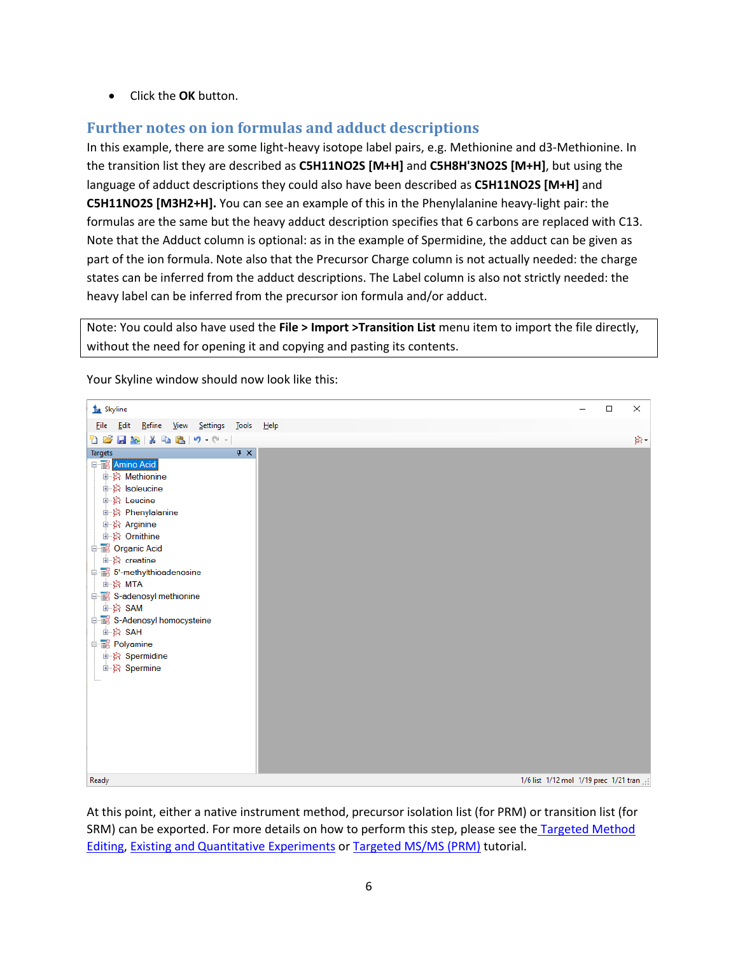• Click the **OK** button.

### **Further notes on ion formulas and adduct descriptions**

In this example, there are some light-heavy isotope label pairs, e.g. Methionine and d3-Methionine. In the transition list they are described as **C5H11NO2S [M+H]** and **C5H8H'3NO2S [M+H]**, but using the language of adduct descriptions they could also have been described as **C5H11NO2S [M+H]** and **C5H11NO2S [M3H2+H].** You can see an example of this in the Phenylalanine heavy-light pair: the formulas are the same but the heavy adduct description specifies that 6 carbons are replaced with C13. Note that the Adduct column is optional: as in the example of Spermidine, the adduct can be given as part of the ion formula. Note also that the Precursor Charge column is not actually needed: the charge states can be inferred from the adduct descriptions. The Label column is also not strictly needed: the heavy label can be inferred from the precursor ion formula and/or adduct.

Note: You could also have used the **File > Import >Transition List** menu item to import the file directly, without the need for opening it and copying and pasting its contents.

| <b>Tu</b> Skyline                                | $\Box$<br>× |    |
|--------------------------------------------------|-------------|----|
| File Edit Refine View Settings Tools Help        |             |    |
| 18 FR 18 B 3 9 - 9 - 1                           |             | 辟。 |
| $\sqrt{4}$ X<br><b>Targets</b>                   |             |    |
| <b>EN Amino Acid</b>                             |             |    |
| 由 ※ Methionine                                   |             |    |
| 由 ※ Isoleucine                                   |             |    |
| 由 St Leucine<br>e St Phenylalanine               |             |    |
| 中 3 Arginine                                     |             |    |
| 由 St Ornithine                                   |             |    |
| Organic Acid                                     |             |    |
| 由 资 creatine                                     |             |    |
| 5'-88 5'-methylthioadenosine                     |             |    |
| ≞⊹}≱ МТА                                         |             |    |
| S-adenosyl methionine                            |             |    |
| <del>ம்</del> %} SAM                             |             |    |
| S-Adenosyl homocysteine<br>ம் <b>ஜ்</b> SAH      |             |    |
| <b>Polyamine</b>                                 |             |    |
| 中 X Spermidine                                   |             |    |
| 由 Spermine                                       |             |    |
|                                                  |             |    |
|                                                  |             |    |
|                                                  |             |    |
|                                                  |             |    |
|                                                  |             |    |
|                                                  |             |    |
|                                                  |             |    |
| Ready<br>1/6 list 1/12 mol 1/19 prec 1/21 tran : |             |    |

Your Skyline window should now look like this:

At this point, either a native instrument method, precursor isolation list (for PRM) or transition list (for SRM) can be exported. For more details on how to perform this step, please see the [Targeted Method](https://skyline.ms/tutorial_method_edit.url)  [Editing,](https://skyline.ms/tutorial_method_edit.url) [Existing and Quantitative Experiments](https://skyline.ms/tutorial_existing_quant.url) or [Targeted MS/MS \(PRM\)](https://skyline.ms/tutorial_targeted_msms.url) tutorial.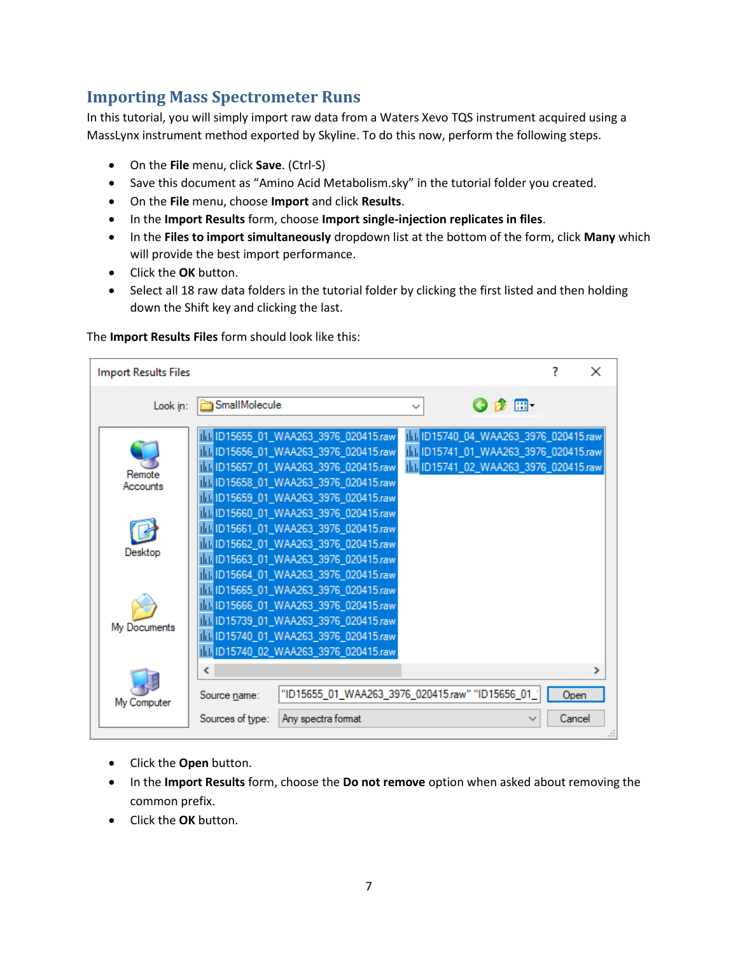## **Importing Mass Spectrometer Runs**

In this tutorial, you will simply import raw data from a Waters Xevo TQS instrument acquired using a MassLynx instrument method exported by Skyline. To do this now, perform the following steps.

- On the **File** menu, click **Save**. (Ctrl-S)
- Save this document as "Amino Acid Metabolism.sky" in the tutorial folder you created.
- On the **File** menu, choose **Import** and click **Results**.
- In the **Import Results** form, choose **Import single-injection replicates in files**.
- In the **Files to import simultaneously** dropdown list at the bottom of the form, click **Many** which will provide the best import performance.
- Click the **OK** button.
- Select all 18 raw data folders in the tutorial folder by clicking the first listed and then holding down the Shift key and clicking the last.

#### The **Import Results Files** form should look like this:

| <b>Import Results Files</b> |                                       |                                                                                                                                                                                                               |                                                                                                                           |                |   |
|-----------------------------|---------------------------------------|---------------------------------------------------------------------------------------------------------------------------------------------------------------------------------------------------------------|---------------------------------------------------------------------------------------------------------------------------|----------------|---|
| Look in:                    | GmallMolecule                         |                                                                                                                                                                                                               | G n} ⊞ 1                                                                                                                  |                |   |
| Remote<br>Accounts          |                                       | IIII ID15655_01_WAA263_3976_020415.raw<br>IIII ID15656_01_WAA263_3976_020415.raw<br>IIII ID15657_01_WAA263_3976_020415.raw<br>11. ID15658_01_WAA263_3976_020415.raw<br>IIII ID15659_01_WAA263_3976_020415.raw | III ID15740_04_WAA263_3976_020415.raw<br>IIII ID15741_01_WAA263_3976_020415.raw<br>III. ID15741_02_WAA263_3976_020415.raw |                |   |
| Desktop                     |                                       | III. ID15660_01_WAA263_3976_020415.raw<br>IIII ID15661_01_WAA263_3976_020415.raw<br>11. ID15662_01_WAA263_3976_020415.raw<br>IIII ID15663_01_WAA263_3976_020415.raw<br>11. ID15664_01_WAA263_3976_020415.raw  |                                                                                                                           |                |   |
| My Documents                |                                       | 11. ID15665_01_WAA263_3976_020415.raw<br>11. ID15666_01_WAA263_3976_020415.raw<br>11. ID15739_01_WAA263_3976_020415.raw<br>IIII ID15740_01_WAA263_3976_020415.raw<br>11. ID15740_02_WAA263_3976_020415.raw    |                                                                                                                           |                |   |
| My Computer                 | ∢<br>Source name:<br>Sources of type: | "ID15655_01_WAA263_3976_020415.raw" "ID15656_01_<br>Any spectra format                                                                                                                                        |                                                                                                                           | Open<br>Cancel | ⋗ |

- Click the **Open** button.
- In the **Import Results** form, choose the **Do not remove** option when asked about removing the common prefix.
- Click the **OK** button.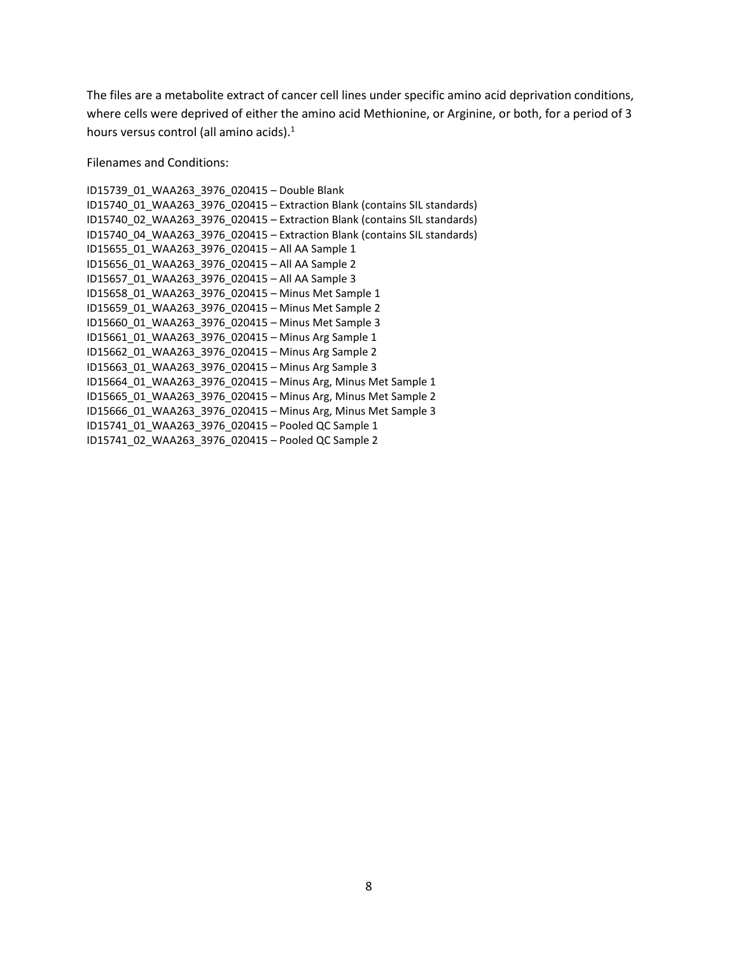The files are a metabolite extract of cancer cell lines under specific amino acid deprivation conditions, where cells were deprived of either the amino acid Methionine, or Arginine, or both, for a period of 3 hours versus control (all amino acids).<sup>1</sup>

Filenames and Conditions:

ID15739\_01\_WAA263\_3976\_020415 – Double Blank ID15740\_01\_WAA263\_3976\_020415 – Extraction Blank (contains SIL standards) ID15740\_02\_WAA263\_3976\_020415 – Extraction Blank (contains SIL standards) ID15740\_04\_WAA263\_3976\_020415 – Extraction Blank (contains SIL standards) ID15655\_01\_WAA263\_3976\_020415 – All AA Sample 1 ID15656\_01\_WAA263\_3976\_020415 – All AA Sample 2 ID15657\_01\_WAA263\_3976\_020415 – All AA Sample 3 ID15658\_01\_WAA263\_3976\_020415 – Minus Met Sample 1 ID15659\_01\_WAA263\_3976\_020415 – Minus Met Sample 2 ID15660\_01\_WAA263\_3976\_020415 – Minus Met Sample 3 ID15661\_01\_WAA263\_3976\_020415 – Minus Arg Sample 1 ID15662\_01\_WAA263\_3976\_020415 – Minus Arg Sample 2 ID15663\_01\_WAA263\_3976\_020415 – Minus Arg Sample 3 ID15664\_01\_WAA263\_3976\_020415 – Minus Arg, Minus Met Sample 1 ID15665\_01\_WAA263\_3976\_020415 – Minus Arg, Minus Met Sample 2 ID15666\_01\_WAA263\_3976\_020415 – Minus Arg, Minus Met Sample 3 ID15741\_01\_WAA263\_3976\_020415 – Pooled QC Sample 1 ID15741\_02\_WAA263\_3976\_020415 – Pooled QC Sample 2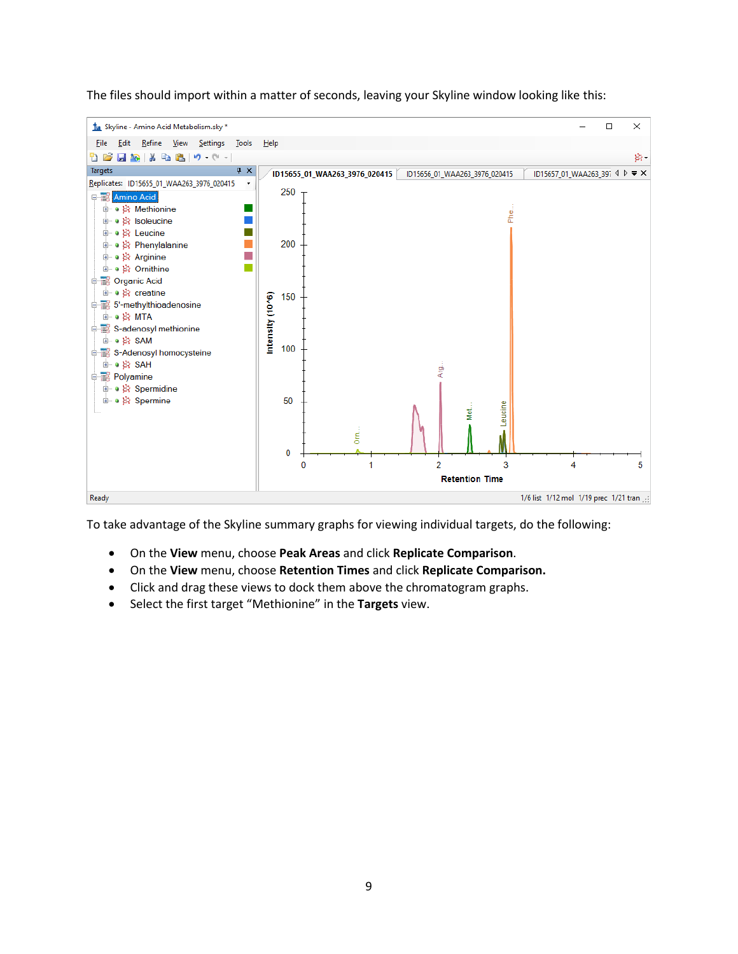

The files should import within a matter of seconds, leaving your Skyline window looking like this:

To take advantage of the Skyline summary graphs for viewing individual targets, do the following:

- On the **View** menu, choose **Peak Areas** and click **Replicate Comparison**.
- On the **View** menu, choose **Retention Times** and click **Replicate Comparison.**
- Click and drag these views to dock them above the chromatogram graphs.
- Select the first target "Methionine" in the **Targets** view.